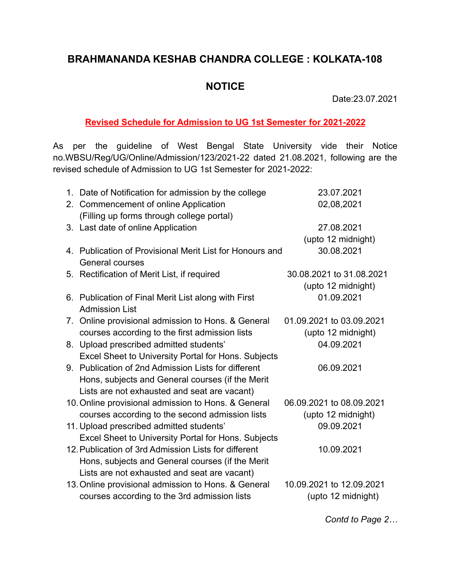## **BRAHMANANDA KESHAB CHANDRA COLLEGE : KOLKATA-108**

## **NOTICE**

Date:23.07.2021

## **Revised Schedule for Admission to UG 1st Semester for 2021-2022**

As per the guideline of West Bengal State University vide their Notice no.WBSU/Reg/UG/Online/Admission/123/2021-22 dated 21.08.2021, following are the revised schedule of Admission to UG 1st Semester for 2021-2022:

| 1. Date of Notification for admission by the college       | 23.07.2021               |
|------------------------------------------------------------|--------------------------|
| 2. Commencement of online Application                      | 02,08,2021               |
| (Filling up forms through college portal)                  |                          |
| 3. Last date of online Application                         | 27.08.2021               |
|                                                            | (upto 12 midnight)       |
| 4. Publication of Provisional Merit List for Honours and   | 30.08.2021               |
| <b>General courses</b>                                     |                          |
| 5. Rectification of Merit List, if required                | 30.08.2021 to 31.08.2021 |
|                                                            | (upto 12 midnight)       |
| 6. Publication of Final Merit List along with First        | 01.09.2021               |
| <b>Admission List</b>                                      |                          |
| 7. Online provisional admission to Hons. & General         | 01.09.2021 to 03.09.2021 |
| courses according to the first admission lists             | (upto 12 midnight)       |
| 8. Upload prescribed admitted students'                    | 04.09.2021               |
| Excel Sheet to University Portal for Hons. Subjects        |                          |
| 9. Publication of 2nd Admission Lists for different        | 06.09.2021               |
| Hons, subjects and General courses (if the Merit           |                          |
| Lists are not exhausted and seat are vacant)               |                          |
| 10. Online provisional admission to Hons. & General        | 06.09.2021 to 08.09.2021 |
| courses according to the second admission lists            | (upto 12 midnight)       |
| 11. Upload prescribed admitted students'                   | 09.09.2021               |
| <b>Excel Sheet to University Portal for Hons. Subjects</b> |                          |
| 12. Publication of 3rd Admission Lists for different       | 10.09.2021               |
| Hons, subjects and General courses (if the Merit           |                          |
| Lists are not exhausted and seat are vacant)               |                          |
| 13. Online provisional admission to Hons. & General        | 10.09.2021 to 12.09.2021 |
| courses according to the 3rd admission lists               | (upto 12 midnight)       |
|                                                            |                          |

*Contd to Page 2…*